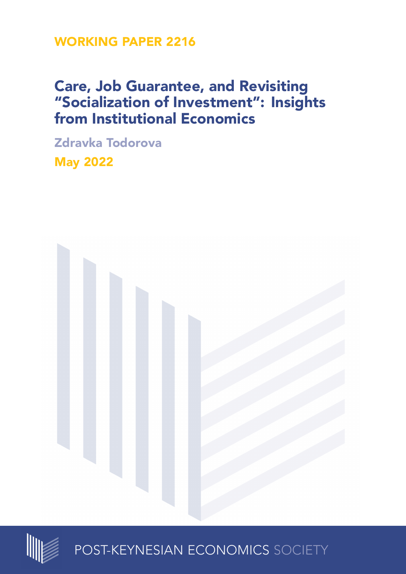**WORKING PAPER 2216**

# **Care, Job Guarantee, and Revisiting "Socialization of Investment": Insights from Institutional Economics**

**Zdravka Todorova May 2022**





POST-KEYNESIAN ECONOMICS SOCIETY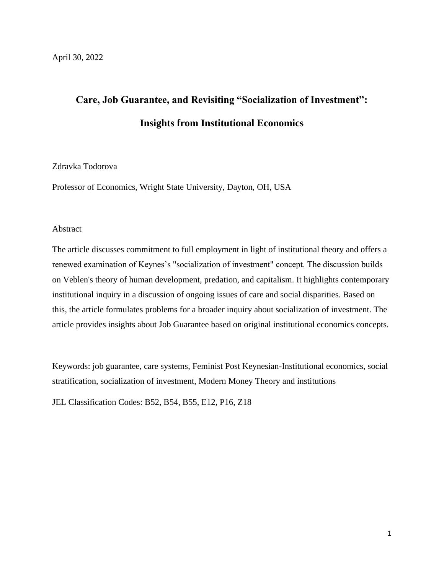# **Care, Job Guarantee, and Revisiting "Socialization of Investment": Insights from Institutional Economics**

## Zdravka Todorova

Professor of Economics, Wright State University, Dayton, OH, USA

## Abstract

The article discusses commitment to full employment in light of institutional theory and offers a renewed examination of Keynes's "socialization of investment" concept. The discussion builds on Veblen's theory of human development, predation, and capitalism. It highlights contemporary institutional inquiry in a discussion of ongoing issues of care and social disparities. Based on this, the article formulates problems for a broader inquiry about socialization of investment. The article provides insights about Job Guarantee based on original institutional economics concepts.

Keywords: job guarantee, care systems, Feminist Post Keynesian-Institutional economics, social stratification, socialization of investment, Modern Money Theory and institutions

JEL Classification Codes: B52, B54, B55, E12, P16, Z18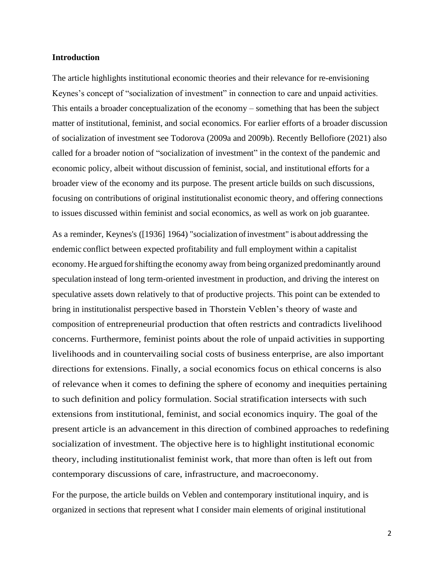## **Introduction**

The article highlights institutional economic theories and their relevance for re-envisioning Keynes's concept of "socialization of investment" in connection to care and unpaid activities. This entails a broader conceptualization of the economy – something that has been the subject matter of institutional, feminist, and social economics. For earlier efforts of a broader discussion of socialization of investment see Todorova (2009a and 2009b). Recently Bellofiore (2021) also called for a broader notion of "socialization of investment" in the context of the pandemic and economic policy, albeit without discussion of feminist, social, and institutional efforts for a broader view of the economy and its purpose. The present article builds on such discussions, focusing on contributions of original institutionalist economic theory, and offering connections to issues discussed within feminist and social economics, as well as work on job guarantee.

As a reminder, Keynes's ([1936] 1964) "socialization of investment" is about addressing the endemic conflict between expected profitability and full employment within a capitalist economy. He argued for shifting the economy away from being organized predominantly around speculation instead of long term-oriented investment in production, and driving the interest on speculative assets down relatively to that of productive projects. This point can be extended to bring in institutionalist perspective based in Thorstein Veblen's theory of waste and composition of entrepreneurial production that often restricts and contradicts livelihood concerns. Furthermore, feminist points about the role of unpaid activities in supporting livelihoods and in countervailing social costs of business enterprise, are also important directions for extensions. Finally, a social economics focus on ethical concerns is also of relevance when it comes to defining the sphere of economy and inequities pertaining to such definition and policy formulation. Social stratification intersects with such extensions from institutional, feminist, and social economics inquiry. The goal of the present article is an advancement in this direction of combined approaches to redefining socialization of investment. The objective here is to highlight institutional economic theory, including institutionalist feminist work, that more than often is left out from contemporary discussions of care, infrastructure, and macroeconomy.

For the purpose, the article builds on Veblen and contemporary institutional inquiry, and is organized in sections that represent what I consider main elements of original institutional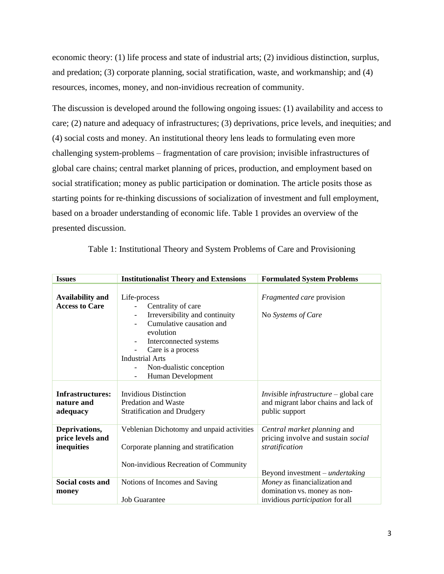economic theory: (1) life process and state of industrial arts; (2) invidious distinction, surplus, and predation; (3) corporate planning, social stratification, waste, and workmanship; and (4) resources, incomes, money, and non-invidious recreation of community.

The discussion is developed around the following ongoing issues: (1) availability and access to care; (2) nature and adequacy of infrastructures; (3) deprivations, price levels, and inequities; and (4) social costs and money. An institutional theory lens leads to formulating even more challenging system-problems – fragmentation of care provision; invisible infrastructures of global care chains; central market planning of prices, production, and employment based on social stratification; money as public participation or domination. The article posits those as starting points for re-thinking discussions of socialization of investment and full employment, based on a broader understanding of economic life. Table 1 provides an overview of the presented discussion.

| <b>Issues</b>           | <b>Institutionalist Theory and Extensions</b>      | <b>Formulated System Problems</b>                                                       |
|-------------------------|----------------------------------------------------|-----------------------------------------------------------------------------------------|
|                         |                                                    |                                                                                         |
| <b>Availability and</b> | Life-process                                       | Fragmented care provision                                                               |
| <b>Access to Care</b>   | Centrality of care                                 |                                                                                         |
|                         | Irreversibility and continuity                     | No Systems of Care                                                                      |
|                         | Cumulative causation and                           |                                                                                         |
|                         | evolution                                          |                                                                                         |
|                         | Interconnected systems<br>$\overline{\phantom{a}}$ |                                                                                         |
|                         | Care is a process                                  |                                                                                         |
|                         | <b>Industrial Arts</b>                             |                                                                                         |
|                         | Non-dualistic conception                           |                                                                                         |
|                         | Human Development                                  |                                                                                         |
| Infrastructures:        | <b>Invidious Distinction</b>                       |                                                                                         |
| nature and              | Predation and Waste                                | <i>Invisible infrastructure</i> $-$ global care<br>and migrant labor chains and lack of |
| adequacy                | <b>Stratification and Drudgery</b>                 | public support                                                                          |
|                         |                                                    |                                                                                         |
| Deprivations,           | Veblenian Dichotomy and unpaid activities          | Central market planning and                                                             |
| price levels and        |                                                    | pricing involve and sustain social                                                      |
| inequities              | Corporate planning and stratification              | stratification                                                                          |
|                         |                                                    |                                                                                         |
|                         | Non-invidious Recreation of Community              |                                                                                         |
|                         |                                                    | Beyond investment – <i>undertaking</i>                                                  |
| Social costs and        | Notions of Incomes and Saving                      | Money as financialization and                                                           |
| money                   |                                                    | domination vs. money as non-                                                            |
|                         | <b>Job Guarantee</b>                               | invidious <i>participation</i> for all                                                  |

Table 1: Institutional Theory and System Problems of Care and Provisioning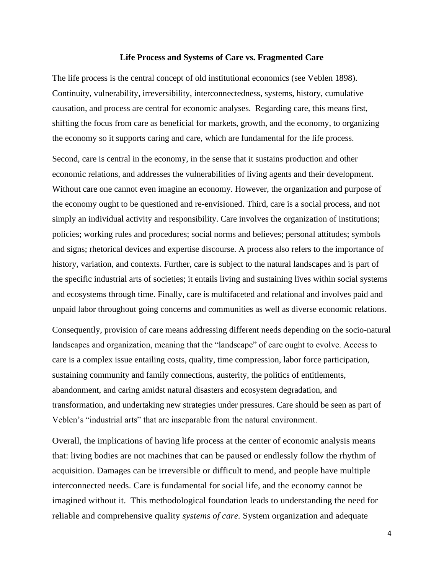#### **Life Process and Systems of Care vs. Fragmented Care**

The life process is the central concept of old institutional economics (see Veblen 1898). Continuity, vulnerability, irreversibility, interconnectedness, systems, history, cumulative causation, and process are central for economic analyses. Regarding care, this means first, shifting the focus from care as beneficial for markets, growth, and the economy, to organizing the economy so it supports caring and care, which are fundamental for the life process.

Second, care is central in the economy, in the sense that it sustains production and other economic relations, and addresses the vulnerabilities of living agents and their development. Without care one cannot even imagine an economy. However, the organization and purpose of the economy ought to be questioned and re-envisioned. Third, care is a social process, and not simply an individual activity and responsibility. Care involves the organization of institutions; policies; working rules and procedures; social norms and believes; personal attitudes; symbols and signs; rhetorical devices and expertise discourse. A process also refers to the importance of history, variation, and contexts. Further, care is subject to the natural landscapes and is part of the specific industrial arts of societies; it entails living and sustaining lives within social systems and ecosystems through time. Finally, care is multifaceted and relational and involves paid and unpaid labor throughout going concerns and communities as well as diverse economic relations.

Consequently, provision of care means addressing different needs depending on the socio-natural landscapes and organization, meaning that the "landscape" of care ought to evolve. Access to care is a complex issue entailing costs, quality, time compression, labor force participation, sustaining community and family connections, austerity, the politics of entitlements, abandonment, and caring amidst natural disasters and ecosystem degradation, and transformation, and undertaking new strategies under pressures. Care should be seen as part of Veblen's "industrial arts" that are inseparable from the natural environment.

Overall, the implications of having life process at the center of economic analysis means that: living bodies are not machines that can be paused or endlessly follow the rhythm of acquisition. Damages can be irreversible or difficult to mend, and people have multiple interconnected needs. Care is fundamental for social life, and the economy cannot be imagined without it. This methodological foundation leads to understanding the need for reliable and comprehensive quality *systems of care.* System organization and adequate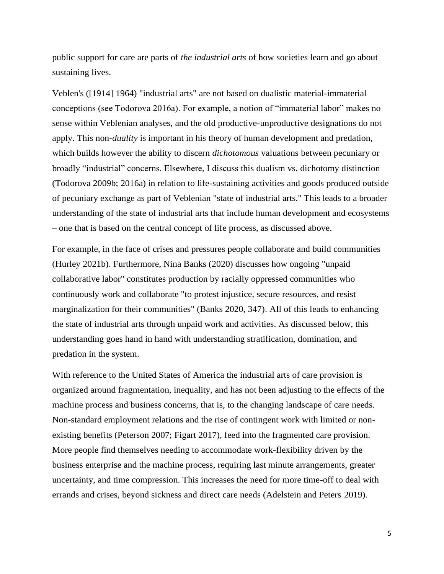public support for care are parts of *the industrial arts* of how societies learn and go about sustaining lives.

Veblen's ([1914] 1964) "industrial arts" are not based on dualistic material-immaterial conceptions (see Todorova 2016a). For example, a notion of "immaterial labor" makes no sense within Veblenian analyses, and the old productive-unproductive designations do not apply. This non-*duality* is important in his theory of human development and predation, which builds however the ability to discern *dichotomous* valuations between pecuniary or broadly "industrial" concerns. Elsewhere, I discuss this dualism vs. dichotomy distinction (Todorova 2009b; 2016a) in relation to life-sustaining activities and goods produced outside of pecuniary exchange as part of Veblenian "state of industrial arts." This leads to a broader understanding of the state of industrial arts that include human development and ecosystems – one that is based on the central concept of life process, as discussed above.

For example, in the face of crises and pressures people collaborate and build communities (Hurley 2021b). Furthermore, Nina Banks (2020) discusses how ongoing "unpaid collaborative labor" constitutes production by racially oppressed communities who continuously work and collaborate "to protest injustice, secure resources, and resist marginalization for their communities" (Banks 2020, 347). All of this leads to enhancing the state of industrial arts through unpaid work and activities. As discussed below, this understanding goes hand in hand with understanding stratification, domination, and predation in the system.

With reference to the United States of America the industrial arts of care provision is organized around fragmentation, inequality, and has not been adjusting to the effects of the machine process and business concerns, that is, to the changing landscape of care needs. Non-standard employment relations and the rise of contingent work with limited or nonexisting benefits (Peterson 2007; Figart 2017), feed into the fragmented care provision. More people find themselves needing to accommodate work-flexibility driven by the business enterprise and the machine process, requiring last minute arrangements, greater uncertainty, and time compression. This increases the need for more time-off to deal with errands and crises, beyond sickness and direct care needs (Adelstein and Peters 2019).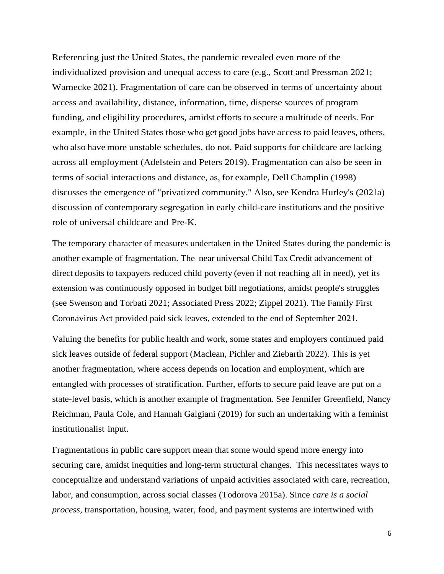Referencing just the United States, the pandemic revealed even more of the individualized provision and unequal access to care (e.g., Scott and Pressman 2021; Warnecke 2021). Fragmentation of care can be observed in terms of uncertainty about access and availability, distance, information, time, disperse sources of program funding, and eligibility procedures, amidst efforts to secure a multitude of needs. For example, in the United States those who get good jobs have access to paid leaves, others, who also have more unstable schedules, do not. Paid supports for childcare are lacking across all employment (Adelstein and Peters 2019). Fragmentation can also be seen in terms of social interactions and distance, as, for example, Dell Champlin (1998) discusses the emergence of "privatized community." Also, see Kendra Hurley's (202la) discussion of contemporary segregation in early child-care institutions and the positive role of universal childcare and Pre-K.

The temporary character of measures undertaken in the United States during the pandemic is another example of fragmentation. The near universal Child Tax Credit advancement of direct deposits to taxpayers reduced child poverty (even if not reaching all in need), yet its extension was continuously opposed in budget bill negotiations, amidst people's struggles (see Swenson and Torbati 2021; Associated Press 2022; Zippel 2021). The Family First Coronavirus Act provided paid sick leaves, extended to the end of September 2021.

Valuing the benefits for public health and work, some states and employers continued paid sick leaves outside of federal support (Maclean, Pichler and Ziebarth 2022). This is yet another fragmentation, where access depends on location and employment, which are entangled with processes of stratification. Further, efforts to secure paid leave are put on a state-level basis, which is another example of fragmentation. See Jennifer Greenfield, Nancy Reichman, Paula Cole, and Hannah Galgiani (2019) for such an undertaking with a feminist institutionalist input.

Fragmentations in public care support mean that some would spend more energy into securing care, amidst inequities and long-term structural changes. This necessitates ways to conceptualize and understand variations of unpaid activities associated with care, recreation, labor, and consumption, across social classes (Todorova 2015a). Since *care is a social process,* transportation, housing, water, food, and payment systems are intertwined with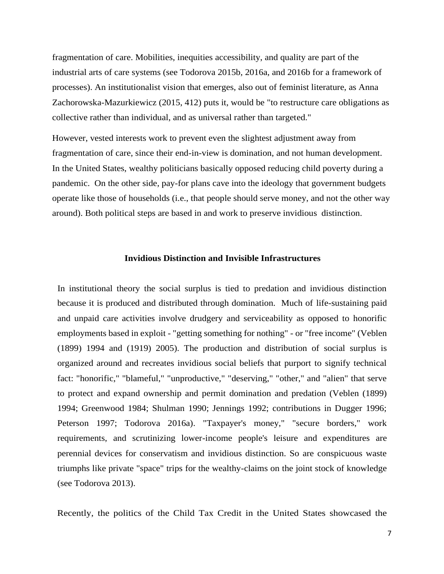fragmentation of care. Mobilities, inequities accessibility, and quality are part of the industrial arts of care systems (see Todorova 2015b, 2016a, and 2016b for a framework of processes). An institutionalist vision that emerges, also out of feminist literature, as Anna Zachorowska-Mazurkiewicz (2015, 412) puts it, would be "to restructure care obligations as collective rather than individual, and as universal rather than targeted."

However, vested interests work to prevent even the slightest adjustment away from fragmentation of care, since their end-in-view is domination, and not human development. In the United States, wealthy politicians basically opposed reducing child poverty during a pandemic. On the other side, pay-for plans cave into the ideology that government budgets operate like those of households (i.e., that people should serve money, and not the other way around). Both political steps are based in and work to preserve invidious distinction.

## **Invidious Distinction and Invisible Infrastructures**

In institutional theory the social surplus is tied to predation and invidious distinction because it is produced and distributed through domination. Much of life-sustaining paid and unpaid care activities involve drudgery and serviceability as opposed to honorific employments based in exploit - "getting something for nothing" - or "free income" (Veblen (1899) 1994 and (1919) 2005). The production and distribution of social surplus is organized around and recreates invidious social beliefs that purport to signify technical fact: "honorific," "blameful," "unproductive," "deserving," "other," and "alien" that serve to protect and expand ownership and permit domination and predation (Veblen (1899) 1994; Greenwood 1984; Shulman 1990; Jennings 1992; contributions in Dugger 1996; Peterson 1997; Todorova 2016a). "Taxpayer's money," "secure borders," work requirements, and scrutinizing lower-income people's leisure and expenditures are perennial devices for conservatism and invidious distinction. So are conspicuous waste triumphs like private "space" trips for the wealthy-claims on the joint stock of knowledge (see Todorova 2013).

Recently, the politics of the Child Tax Credit in the United States showcased the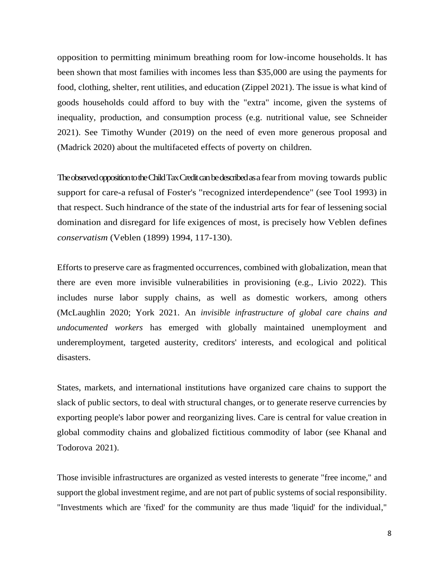opposition to permitting minimum breathing room for low-income households. lt has been shown that most families with incomes less than \$35,000 are using the payments for food, clothing, shelter, rent utilities, and education (Zippel 2021). The issue is what kind of goods households could afford to buy with the "extra" income, given the systems of inequality, production, and consumption process (e.g. nutritional value, see Schneider 2021). See Timothy Wunder (2019) on the need of even more generous proposal and (Madrick 2020) about the multifaceted effects of poverty on children.

The observed opposition to the Child Tax Credit can be described as a fear from moving towards public support for care-a refusal of Foster's "recognized interdependence" (see Tool 1993) in that respect. Such hindrance of the state of the industrial arts for fear of lessening social domination and disregard for life exigences of most, is precisely how Veblen defines *conservatism* (Veblen (1899) 1994, 117-130).

Efforts to preserve care as fragmented occurrences, combined with globalization, mean that there are even more invisible vulnerabilities in provisioning (e.g., Livio 2022). This includes nurse labor supply chains, as well as domestic workers, among others (McLaughlin 2020; York 2021. An *invisible infrastructure of global care chains and undocumented workers* has emerged with globally maintained unemployment and underemployment, targeted austerity, creditors' interests, and ecological and political disasters.

States, markets, and international institutions have organized care chains to support the slack of public sectors, to deal with structural changes, or to generate reserve currencies by exporting people's labor power and reorganizing lives. Care is central for value creation in global commodity chains and globalized fictitious commodity of labor (see Khanal and Todorova 2021).

Those invisible infrastructures are organized as vested interests to generate "free income," and support the global investment regime, and are not part of public systems of social responsibility. "Investments which are 'fixed' for the community are thus made 'liquid' for the individual,"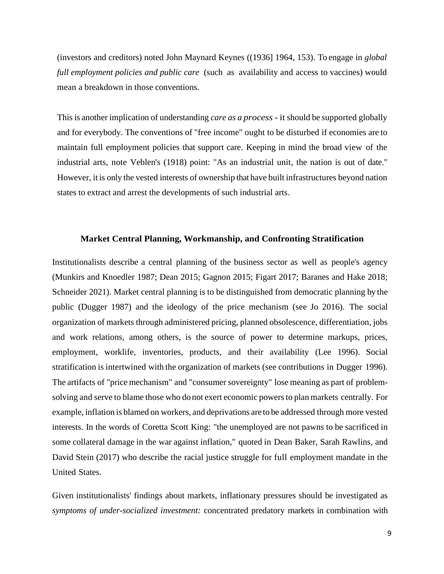(investors and creditors) noted John Maynard Keynes ((1936] 1964, 153). To engage in *global full employment policies and public care* (such as availability and access to vaccines) would mean a breakdown in those conventions.

This is another implication of understanding *care as a process -* it should be supported globally and for everybody. The conventions of "free income" ought to be disturbed if economies are to maintain full employment policies that support care. Keeping in mind the broad view of the industrial arts, note Veblen's (1918) point: "As an industrial unit, the nation is out of date." However, it is only the vested interests of ownership that have built infrastructures beyond nation states to extract and arrest the developments of such industrial arts.

#### **Market Central Planning, Workmanship, and Confronting Stratification**

Institutionalists describe a central planning of the business sector as well as people's agency (Munkirs and Knoedler 1987; Dean 2015; Gagnon 2015; Figart 2017; Baranes and Hake 2018; Schneider 2021). Market central planning is to be distinguished from democratic planning by the public (Dugger 1987) and the ideology of the price mechanism (see Jo 2016). The social organization of markets through administered pricing, planned obsolescence, differentiation, jobs and work relations, among others, is the source of power to determine markups, prices, employment, worklife, inventories, products, and their availability (Lee 1996). Social stratification is intertwined with the organization of markets (see contributions in Dugger 1996). The artifacts of "price mechanism" and "consumer sovereignty" lose meaning as part of problemsolving and serve to blame those who do not exert economic powers to plan markets centrally. For example, inflation is blamed on workers, and deprivations are to be addressed through more vested interests. In the words of Coretta Scott King: "the unemployed are not pawns to be sacrificed in some collateral damage in the war against inflation," quoted in Dean Baker, Sarah Rawlins, and David Stein (2017) who describe the racial justice struggle for full employment mandate in the United States.

Given institutionalists' findings about markets, inflationary pressures should be investigated as *symptoms of under-socialized investment:* concentrated predatory markets in combination with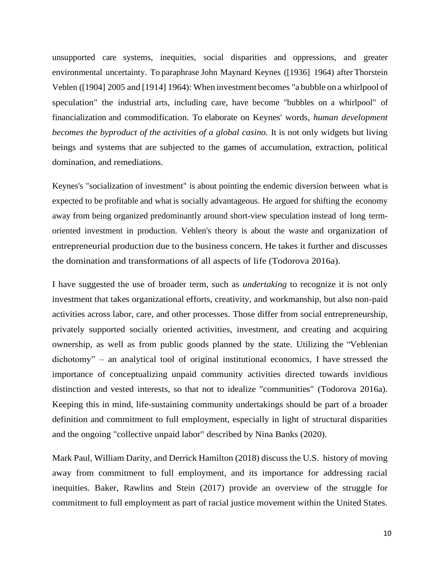unsupported care systems, inequities, social disparities and oppressions, and greater environmental uncertainty. To paraphrase John Maynard Keynes ([1936] 1964) after Thorstein Veblen ([1904] 2005 and [1914] 1964): When investment becomes "a bubble on a whirlpool of speculation" the industrial arts, including care, have become "bubbles on a whirlpool" of financialization and commodification. To elaborate on Keynes' words, *human development becomes the byproduct of the activities of a global casino.* It is not only widgets but living beings and systems that are subjected to the games of accumulation, extraction, political domination, and remediations.

Keynes's "socialization of investment" is about pointing the endemic diversion between what is expected to be profitable and what is socially advantageous. He argued for shifting the economy away from being organized predominantly around short-view speculation instead of long termoriented investment in production. Veblen's theory is about the waste and organization of entrepreneurial production due to the business concern. He takes it further and discusses the domination and transformations of all aspects of life (Todorova 2016a).

I have suggested the use of broader term, such as *undertaking* to recognize it is not only investment that takes organizational efforts, creativity, and workmanship, but also non-paid activities across labor, care, and other processes. Those differ from social entrepreneurship, privately supported socially oriented activities, investment, and creating and acquiring ownership, as well as from public goods planned by the state. Utilizing the "Veblenian dichotomy" – an analytical tool of original institutional economics, I have stressed the importance of conceptualizing unpaid community activities directed towards invidious distinction and vested interests, so that not to idealize "communities" (Todorova 2016a). Keeping this in mind, life-sustaining community undertakings should be part of a broader definition and commitment to full employment, especially in light of structural disparities and the ongoing "collective unpaid labor" described by Nina Banks (2020).

Mark Paul, William Darity, and Derrick Hamilton (2018) discuss the U.S. history of moving away from commitment to full employment, and its importance for addressing racial inequities. Baker, Rawlins and Stein (2017) provide an overview of the struggle for commitment to full employment as part of racial justice movement within the United States.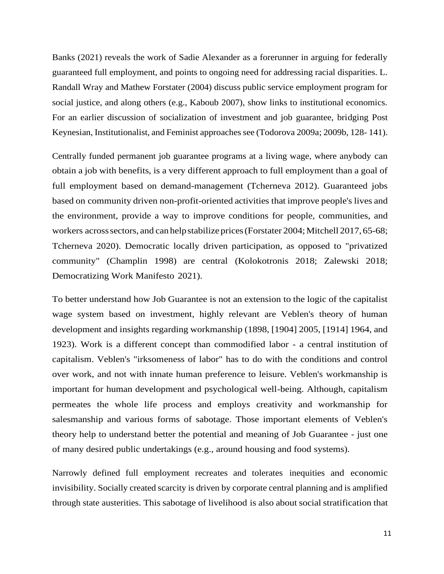Banks (2021) reveals the work of Sadie Alexander as a forerunner in arguing for federally guaranteed full employment, and points to ongoing need for addressing racial disparities. L. Randall Wray and Mathew Forstater (2004) discuss public service employment program for social justice, and along others (e.g., Kaboub 2007), show links to institutional economics. For an earlier discussion of socialization of investment and job guarantee, bridging Post Keynesian, Institutionalist, and Feminist approaches see (Todorova 2009a; 2009b, 128- 141).

Centrally funded permanent job guarantee programs at a living wage, where anybody can obtain a job with benefits, is a very different approach to full employment than a goal of full employment based on demand-management (Tcherneva 2012). Guaranteed jobs based on community driven non-profit-oriented activities that improve people's lives and the environment, provide a way to improve conditions for people, communities, and workers across sectors, and can help stabilize prices (Forstater 2004; Mitchell 2017, 65-68; Tcherneva 2020). Democratic locally driven participation, as opposed to "privatized community" (Champlin 1998) are central (Kolokotronis 2018; Zalewski 2018; Democratizing Work Manifesto 2021).

To better understand how Job Guarantee is not an extension to the logic of the capitalist wage system based on investment, highly relevant are Veblen's theory of human development and insights regarding workmanship (1898, [1904] 2005, [1914] 1964, and 1923). Work is a different concept than commodified labor - a central institution of capitalism. Veblen's "irksomeness of labor" has to do with the conditions and control over work, and not with innate human preference to leisure. Veblen's workmanship is important for human development and psychological well-being. Although, capitalism permeates the whole life process and employs creativity and workmanship for salesmanship and various forms of sabotage. Those important elements of Veblen's theory help to understand better the potential and meaning of Job Guarantee - just one of many desired public undertakings (e.g., around housing and food systems).

Narrowly defined full employment recreates and tolerates inequities and economic invisibility. Socially created scarcity is driven by corporate central planning and is amplified through state austerities. This sabotage of livelihood is also about social stratification that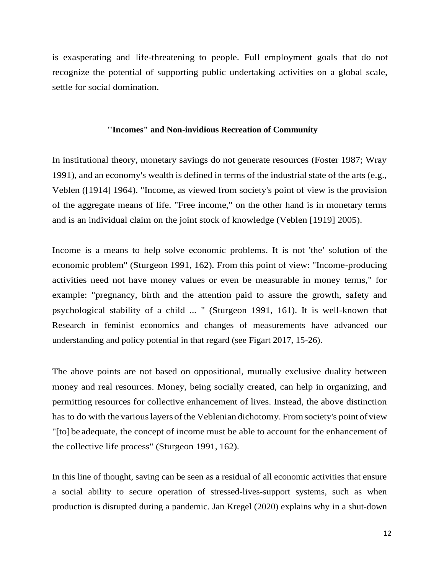is exasperating and life-threatening to people. Full employment goals that do not recognize the potential of supporting public undertaking activities on a global scale, settle for social domination.

## **''Incomes" and Non-invidious Recreation of Community**

In institutional theory, monetary savings do not generate resources (Foster 1987; Wray 1991), and an economy's wealth is defined in terms of the industrial state of the arts (e.g., Veblen ([1914] 1964). "Income, as viewed from society's point of view is the provision of the aggregate means of life. "Free income," on the other hand is in monetary terms and is an individual claim on the joint stock of knowledge (Veblen [1919] 2005).

Income is a means to help solve economic problems. It is not 'the' solution of the economic problem" (Sturgeon 1991, 162). From this point of view: "Income-producing activities need not have money values or even be measurable in money terms," for example: "pregnancy, birth and the attention paid to assure the growth, safety and psychological stability of a child ... " (Sturgeon 1991, 161). It is well-known that Research in feminist economics and changes of measurements have advanced our understanding and policy potential in that regard (see Figart 2017, 15-26).

The above points are not based on oppositional, mutually exclusive duality between money and real resources. Money, being socially created, can help in organizing, and permitting resources for collective enhancement of lives. Instead, the above distinction has to do with the various layers of the Veblenian dichotomy. From society's point of view "[to] be adequate, the concept of income must be able to account for the enhancement of the collective life process" (Sturgeon 1991, 162).

In this line of thought, saving can be seen as a residual of all economic activities that ensure a social ability to secure operation of stressed-lives-support systems, such as when production is disrupted during a pandemic. Jan Kregel (2020) explains why in a shut-down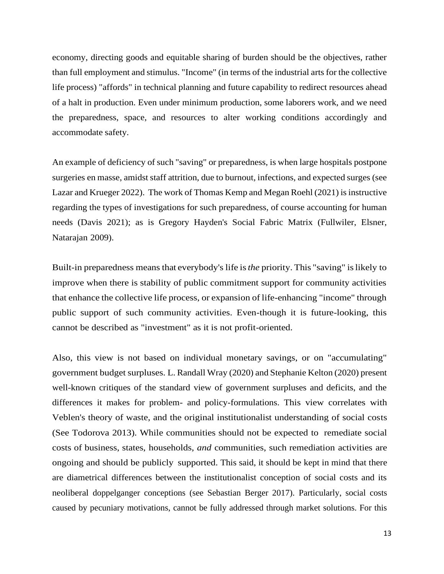economy, directing goods and equitable sharing of burden should be the objectives, rather than full employment and stimulus. "Income" (in terms of the industrial arts for the collective life process) "affords" in technical planning and future capability to redirect resources ahead of a halt in production. Even under minimum production, some laborers work, and we need the preparedness, space, and resources to alter working conditions accordingly and accommodate safety.

An example of deficiency of such "saving" or preparedness, is when large hospitals postpone surgeries en masse, amidst staff attrition, due to burnout, infections, and expected surges (see Lazar and Krueger 2022). The work of Thomas Kemp and Megan Roehl (2021) is instructive regarding the types of investigations for such preparedness, of course accounting for human needs (Davis 2021); as is Gregory Hayden's Social Fabric Matrix (Fullwiler, Elsner, Natarajan 2009).

Built-in preparedness means that everybody's life is*the* priority. This "saving" islikely to improve when there is stability of public commitment support for community activities that enhance the collective life process, or expansion of life-enhancing "income" through public support of such community activities. Even-though it is future-looking, this cannot be described as "investment" as it is not profit-oriented.

Also, this view is not based on individual monetary savings, or on "accumulating" government budget surpluses. L. Randall Wray (2020) and Stephanie Kelton (2020) present well-known critiques of the standard view of government surpluses and deficits, and the differences it makes for problem- and policy-formulations. This view correlates with Veblen's theory of waste, and the original institutionalist understanding of social costs (See Todorova 2013). While communities should not be expected to remediate social costs of business, states, households, *and* communities, such remediation activities are ongoing and should be publicly supported. This said, it should be kept in mind that there are diametrical differences between the institutionalist conception of social costs and its neoliberal doppelganger conceptions (see Sebastian Berger 2017). Particularly, social costs caused by pecuniary motivations, cannot be fully addressed through market solutions. For this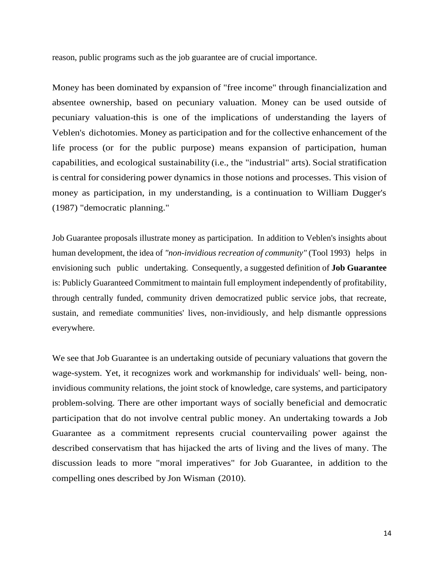reason, public programs such as the job guarantee are of crucial importance.

Money has been dominated by expansion of "free income" through financialization and absentee ownership, based on pecuniary valuation. Money can be used outside of pecuniary valuation-this is one of the implications of understanding the layers of Veblen's dichotomies. Money as participation and for the collective enhancement of the life process (or for the public purpose) means expansion of participation, human capabilities, and ecological sustainability (i.e., the "industrial" arts). Social stratification is central for considering power dynamics in those notions and processes. This vision of money as participation, in my understanding, is a continuation to William Dugger's (1987) "democratic planning."

Job Guarantee proposals illustrate money as participation. In addition to Veblen's insights about human development, the idea of *"non-invidious recreation of community"* (Tool 1993) helps in envisioning such public undertaking. Consequently, a suggested definition of **Job Guarantee** is: Publicly Guaranteed Commitment to maintain full employment independently of profitability, through centrally funded, community driven democratized public service jobs, that recreate, sustain, and remediate communities' lives, non-invidiously, and help dismantle oppressions everywhere.

We see that Job Guarantee is an undertaking outside of pecuniary valuations that govern the wage-system. Yet, it recognizes work and workmanship for individuals' well- being, noninvidious community relations, the joint stock of knowledge, care systems, and participatory problem-solving. There are other important ways of socially beneficial and democratic participation that do not involve central public money. An undertaking towards a Job Guarantee as a commitment represents crucial countervailing power against the described conservatism that has hijacked the arts of living and the lives of many. The discussion leads to more "moral imperatives" for Job Guarantee, in addition to the compelling ones described by Jon Wisman (2010).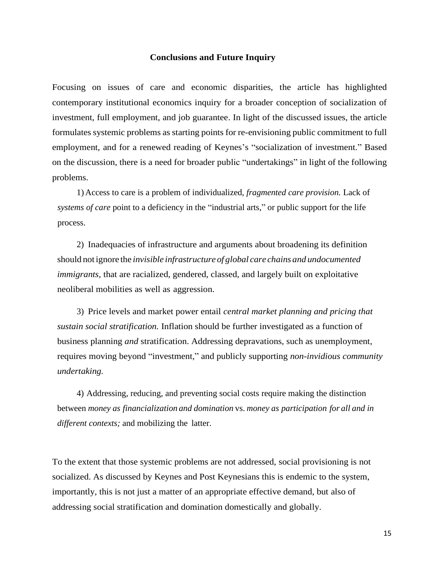#### **Conclusions and Future Inquiry**

Focusing on issues of care and economic disparities, the article has highlighted contemporary institutional economics inquiry for a broader conception of socialization of investment, full employment, and job guarantee. In light of the discussed issues, the article formulates systemic problems as starting points for re-envisioning public commitment to full employment, and for a renewed reading of Keynes's "socialization of investment." Based on the discussion, there is a need for broader public "undertakings" in light of the following problems.

1) Access to care is a problem of individualized, *fragmented care provision.* Lack of *systems of care* point to a deficiency in the "industrial arts," or public support for the life process.

2) Inadequacies of infrastructure and arguments about broadening its definition should not ignore the *invisible infrastructure of global care chains and undocumented immigrants*, that are racialized, gendered, classed, and largely built on exploitative neoliberal mobilities as well as aggression.

3) Price levels and market power entail *central market planning and pricing that sustain social stratification.* Inflation should be further investigated as a function of business planning *and* stratification. Addressing depravations, such as unemployment, requires moving beyond "investment," and publicly supporting *non-invidious community undertaking.*

4) Addressing, reducing, and preventing social costs require making the distinction between *money as financialization and domination* vs. *money as participation for all and in different contexts;* and mobilizing the latter.

To the extent that those systemic problems are not addressed, social provisioning is not socialized. As discussed by Keynes and Post Keynesians this is endemic to the system, importantly, this is not just a matter of an appropriate effective demand, but also of addressing social stratification and domination domestically and globally.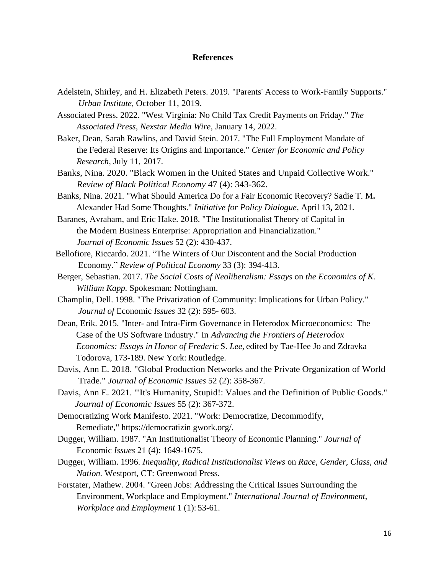#### **References**

- Adelstein, Shirley, and H. Elizabeth Peters. 2019. "Parents' Access to Work-Family Supports." *Urban Institute,* October 11, 2019.
- Associated Press. 2022. "West Virginia: No Child Tax Credit Payments on Friday." *The Associated Press, Nexstar Media Wire,* January 14, 2022.
- Baker, Dean, Sarah Rawlins, and David Stein. 2017. "The Full Employment Mandate of the Federal Reserve: Its Origins and Importance." *Center for Economic and Policy Research,* July 11, 2017.
- Banks, Nina. 2020. "Black Women in the United States and Unpaid Collective Work." *Review of Black Political Economy* 47 (4): 343-362.
- Banks, Nina. 2021. "What Should America Do for a Fair Economic Recovery? Sadie T. M**.**  Alexander Had Some Thoughts." *Initiative for Policy Dialogue,* April 13**,** 2021.
- Baranes, Avraham, and Eric Hake. 2018. "The Institutionalist Theory of Capital in the Modern Business Enterprise: Appropriation and Financialization." *Journal of Economic Issues* 52 (2): 430-437.
- Bellofiore, Riccardo. 2021. "The Winters of Our Discontent and the Social Production Economy." *Review of Political Economy* 33 (3): 394-413.
- Berger, Sebastian. 2017. *The Social Costs of Neoliberalism: Essays* on *the Economics of K. William Kapp.* Spokesman: Nottingham.
- Champlin, Dell. 1998. "The Privatization of Community: Implications for Urban Policy." *Journal of* Economic *Issues* 32 (2): 595- 603.
- Dean, Erik. 2015. "Inter- and Intra-Firm Governance in Heterodox Microeconomics: The Case of the US Software Industry." In *Advancing the Frontiers of Heterodox Economics: Essays in Honor of Frederic* S. *Lee,* edited by Tae-Hee Jo and Zdravka Todorova, 173-189. New York: Routledge.
- Davis, Ann E. 2018. "Global Production Networks and the Private Organization of World Trade." *Journal of Economic Issues* 52 (2): 358-367.
- Davis, Ann E. 2021. "'It's Humanity, Stupid!: Values and the Definition of Public Goods." *Journal of Economic Issues* 55 (2): 367-372.
- Democratizing Work Manifesto. 2021. "Work: Democratize, Decommodify, Remediate," https://democratizin gwork.org/.
- Dugger, William. 1987. "An Institutionalist Theory of Economic Planning." *Journal of*  Economic *Issues* 21 (4): 1649-1675.
- Dugger, William. 1996. *Inequality, Radical Institutionalist Views* on *Race, Gender, Class, and Nation.* Westport, CT: Greenwood Press.
- Forstater, Mathew. 2004. "Green Jobs: Addressing the Critical Issues Surrounding the Environment, Workplace and Employment." *International Journal of Environment, Workplace and Employment* 1 (1): 53-61.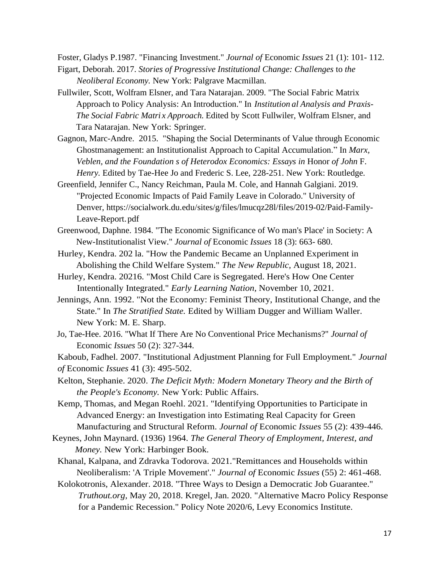Foster, Gladys P.1987. "Financing Investment." *Journal of* Economic *Issues* 21 (1): 101- 112.

- Figart, Deborah. 2017. *Stories of Progressive Institutional Change: Challenges* to *the Neoliberal Economy.* New York: Palgrave Macmillan.
- Fullwiler, Scott, Wolfram Elsner, and Tara Natarajan. 2009. "The Social Fabric Matrix Approach to Policy Analysis: An Introduction." In *Institution al Analysis and Praxis-The Social Fabric Matri x Approach.* Edited by Scott Fullwiler, Wolfram Elsner, and Tara Natarajan. New York: Springer.
- Gagnon, Marc-Andre. 2015. "Shaping the Social Determinants of Value through Economic Ghostmanagement: an Institutionalist Approach to Capital Accumulation." In *Marx, Veblen, and the Foundation s of Heterodox Economics: Essays in* Honor *of John* F. *Henry.* Edited by Tae-Hee Jo and Frederic S. Lee, 228-251. New York: Routledge.
- Greenfield, Jennifer C., Nancy Reichman, Paula M. Cole, and Hannah Galgiani. 2019. "Projected Economic Impacts of Paid Family Leave in Colorado." University of Denver, https://socialwork.du.edu/sites/g/files/lmucqz28l/files/2019-02/Paid-Family-Leave-Report.pdf
- Greenwood, Daphne. 1984. "The Economic Significance of Wo man's Place' in Society: A New-Institutionalist View." *Journal of* Economic *Issues* 18 (3): 663- 680.
- Hurley, Kendra. 202 la. "How the Pandemic Became an Unplanned Experiment in Abolishing the Child Welfare System." *The New Republic,* August 18, 2021.
- Hurley, Kendra. 20216. "Most Child Care is Segregated. Here's How One Center Intentionally Integrated." *Early Learning Nation,* November 10, 2021.
- Jennings, Ann. 1992. "Not the Economy: Feminist Theory, Institutional Change, and the State." In *The Stratified State.* Edited by William Dugger and William Waller. New York: M. E. Sharp.
- Jo, Tae-Hee. 2016. "What If There Are No Conventional Price Mechanisms?" *Journal of*  Economic *Issues* 50 (2): 327-344.

Kaboub, Fadhel. 2007. "Institutional Adjustment Planning for Full Employment." *Journal of* Economic *Issues* 41 (3): 495-502.

- Kelton, Stephanie. 2020. *The Deficit Myth: Modern Monetary Theory and the Birth of the People's Economy.* New York: Public Affairs.
- Kemp, Thomas, and Megan Roehl. 2021. "Identifying Opportunities to Participate in Advanced Energy: an Investigation into Estimating Real Capacity for Green Manufacturing and Structural Reform. *Journal of* Economic *Issues* 55 (2): 439-446.
- Keynes, John Maynard. (1936) 1964. *The General Theory of Employment, Interest, and Money.* New York: Harbinger Book.
	- Khanal, Kalpana, and Zdravka Todorova. 2021."Remittances and Households within Neoliberalism: 'A Triple Movement'." *Journal of* Economic *Issues* (55) 2: 461-468.
	- Kolokotronis, Alexander. 2018. "Three Ways to Design a Democratic Job Guarantee." *Truthout.org,* May 20, 2018. Kregel, Jan. 2020. "Alternative Macro Policy Response for a Pandemic Recession." Policy Note 2020/6, Levy Economics Institute.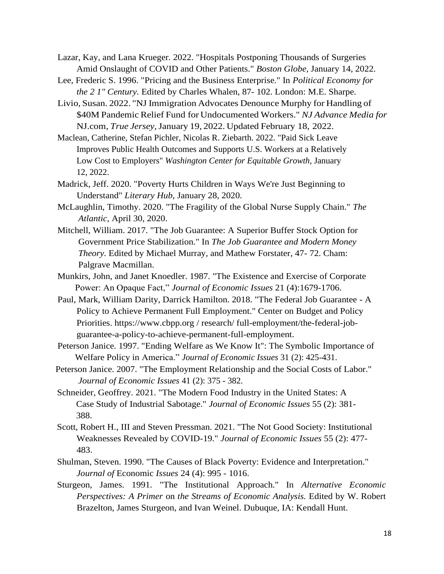Lazar, Kay, and Lana Krueger. 2022. "Hospitals Postponing Thousands of Surgeries Amid Onslaught of COVID and Other Patients." *Boston Globe,* January 14, 2022.

Lee, Frederic S. 1996. "Pricing and the Business Enterprise." In *Political Economy for the 2 1" Century.* Edited by Charles Whalen, 87- 102. London: M.E. Sharpe.

- Livio, Susan. 2022. "NJ Immigration Advocates Denounce Murphy for Handling of \$40M Pandemic Relief Fund for Undocumented Workers." *NJ Advance Media for* NJ.com, *True Jersey,*January 19, 2022. Updated February 18, 2022.
- Maclean, Catherine, Stefan Pichler, Nicolas R. Ziebarth. 2022. "Paid Sick Leave Improves Public Health Outcomes and Supports U.S. Workers at a Relatively Low Cost to Employers" *Washington Center for Equitable Growth,* January 12, 2022.
- Madrick, Jeff. 2020. "Poverty Hurts Children in Ways We're Just Beginning to Understand" *Literary Hub,* January 28, 2020.
- McLaughlin, Timothy. 2020. "The Fragility of the Global Nurse Supply Chain." *The Atlantic,* April 30, 2020.
- Mitchell, William. 2017. "The Job Guarantee: A Superior Buffer Stock Option for Government Price Stabilization." In *The Job Guarantee and Modern Money Theory.* Edited by Michael Murray, and Mathew Forstater, 47- 72. Cham: Palgrave Macmillan.
- Munkirs, John, and Janet Knoedler. 1987. "The Existence and Exercise of Corporate Power: An Opaque Fact," *Journal of Economic Issues* 21 (4):1679-1706.
- Paul, Mark, William Darity, Darrick Hamilton. 2018. "The Federal Job Guarantee A Policy to Achieve Permanent Full Employment." Center on Budget and Policy Priorities. https:/[/www.cbpp.org /](http://www.cbpp.org/) research/ full-employment/the-federal-jobguarantee-a-policy-to-achieve-permanent-full-employment.
- Peterson Janice. 1997. "Ending Welfare as We Know It": The Symbolic Importance of Welfare Policy in America." *Journal of Economic Issues* 31 (2): 425-431.
- Peterson Janice. 2007. "The Employment Relationship and the Social Costs of Labor." *Journal of Economic Issues* 41 (2): 375 - 382.
- Schneider, Geoffrey. 2021. "The Modern Food Industry in the United States: A Case Study of Industrial Sabotage." *Journal of Economic Issues* 55 (2): 381- 388.
- Scott, Robert H., III and Steven Pressman. 2021. "The Not Good Society: Institutional Weaknesses Revealed by COVID-19." *Journal of Economic Issues* 55 (2): 477- 483.
- Shulman, Steven. 1990. "The Causes of Black Poverty: Evidence and Interpretation." *Journal of* Economic *Issues* 24 (4): 995 - 1016.
- Sturgeon, James. 1991. "The Institutional Approach." In *Alternative Economic Perspectives: A Primer* on *the Streams of Economic Analysis.* Edited by W. Robert Brazelton, James Sturgeon, and Ivan Weinel. Dubuque, IA: Kendall Hunt.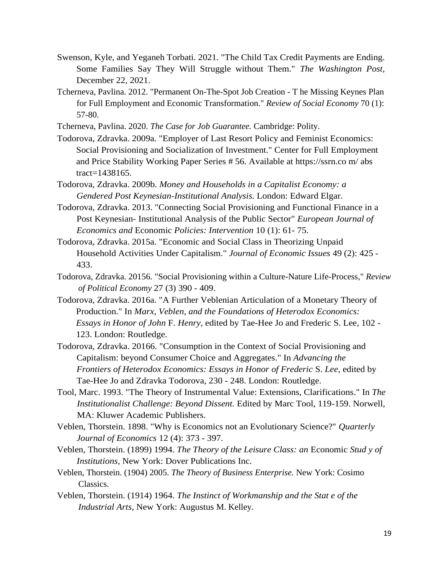- Swenson, Kyle, and Yeganeh Torbati. 2021. "The Child Tax Credit Payments are Ending. Some Families Say They Will Struggle without Them." *The Washington Post,*  December 22, 2021.
- Tcherneva, Pavlina. 2012. "Permanent On-The-Spot Job Creation T he Missing Keynes Plan for Full Employment and Economic Transformation." *Review of Social Economy* 70 (1): 57-80.
- Tcherneva, Pavlina. 2020. *The Case for Job Guarantee.* Cambridge: Polity.
- Todorova, Zdravka. 2009a. "Employer of Last Resort Policy and Feminist Economics: Social Provisioning and Socialization of Investment." Center for Full Employment and Price Stability Working Paper Series # 56. Available at https://ssrn.co m/ abs tract=1438165.
- Todorova, Zdravka. 2009b. *Money and Households in a Capitalist Economy: a Gendered Post Keynesian-Institutional Analysis.* London: Edward Elgar.
- Todorova, Zdravka. 2013. "Connecting Social Provisioning and Functional Finance in a Post Keynesian- Institutional Analysis of the Public Sector" *European Journal of Economics and* Economic *Policies: Intervention* 10 (1): 61- 75.
- Todorova, Zdravka. 2015a. "Economic and Social Class in Theorizing Unpaid Household Activities Under Capitalism." *Journal of Economic Issues* 49 (2): 425 - 433.
- Todorova, Zdravka. 20156. "Social Provisioning within a Culture-Nature Life-Process," *Review of Political Economy* 27 (3) 390 - 409.
- Todorova, Zdravka. 2016a. "A Further Veblenian Articulation of a Monetary Theory of Production." In *Marx, Veblen, and the Foundations of Heterodox Economics: Essays in Honor of John* F. *Henry,* edited by Tae-Hee Jo and Frederic S. Lee, 102 - 123. London: Routledge.
- Todorova, Zdravka. 20166. "Consumption in the Context of Social Provisioning and Capitalism: beyond Consumer Choice and Aggregates." In *Advancing the Frontiers of Heterodox Economics: Essays in Honor of Frederic* S. *Lee,* edited by Tae-Hee Jo and Zdravka Todorova, 230 - 248. London: Routledge.
- Tool, Marc. 1993. "The Theory of Instrumental Value: Extensions, Clarifications." In *The Institutionalist Challenge: Beyond Dissent.* Edited by Marc Tool, 119-159. Norwell, MA: Kluwer Academic Publishers.
- Veblen, Thorstein. 1898. "Why is Economics not an Evolutionary Science?" *Quarterly Journal of Economics* 12 (4): 373 - 397.
- Veblen, Thorstein. (1899) 1994. *The Theory of the Leisure Class: an* Economic *Stud y of Institutions,* New York: Dover Publications Inc.
- Veblen, Thorstein. (1904) 2005. *The Theory of Business Enterprise.* New York: Cosimo Classics.
- Veblen, Thorstein. (1914) 1964. *The Instinct of Workmanship and the Stat e of the Industrial Arts,* New York: Augustus M. Kelley.